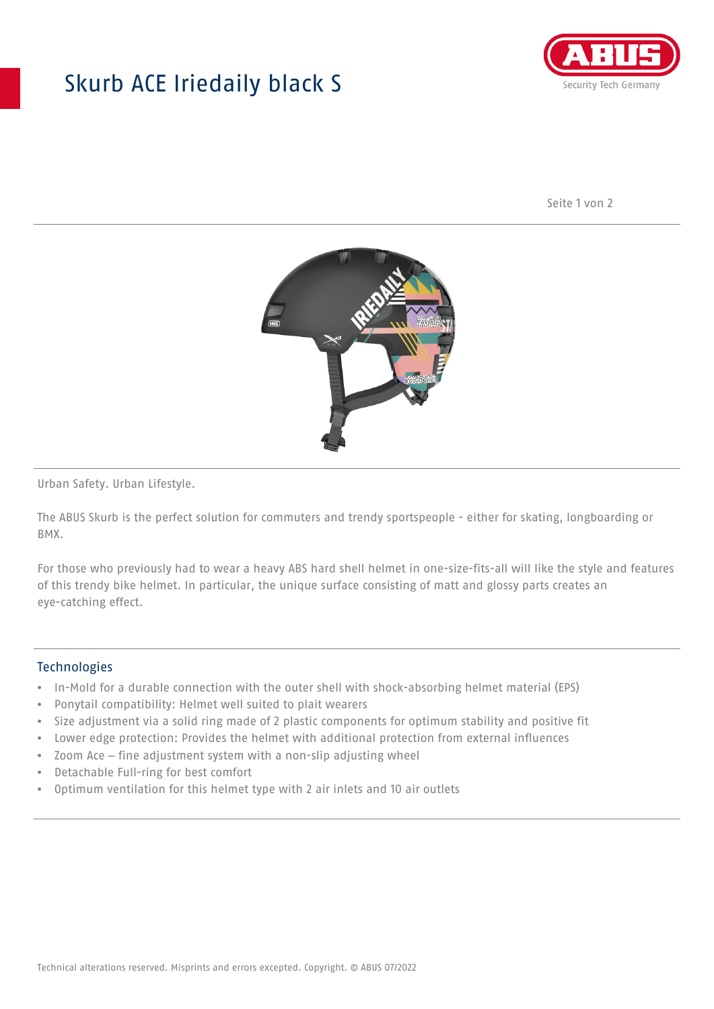## Skurb ACE Iriedaily black S



Seite 1 von 2



Urban Safety. Urban Lifestyle.

The ABUS Skurb is the perfect solution for commuters and trendy sportspeople - either for skating, longboarding or BMX.

For those who previously had to wear a heavy ABS hard shell helmet in one-size-fits-all will like the style and features of this trendy bike helmet. In particular, the unique surface consisting of matt and glossy parts creates an eye-catching effect.

## **Technologies**

- In-Mold for a durable connection with the outer shell with shock-absorbing helmet material (EPS)
- Ponytail compatibility: Helmet well suited to plait wearers
- Size adjustment via a solid ring made of 2 plastic components for optimum stability and positive fit
- Lower edge protection: Provides the helmet with additional protection from external influences
- Zoom Ace fine adjustment system with a non-slip adjusting wheel
- Detachable Full-ring for best comfort
- Optimum ventilation for this helmet type with 2 air inlets and 10 air outlets